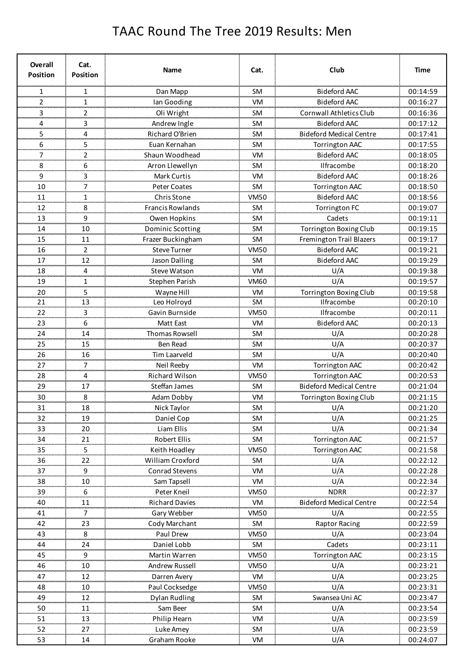## TAAC Round The Tree 2019 Results: Men

| Overall<br><b>Position</b> | Cat.<br><b>Position</b> | <b>Name</b>                          | Cat.              | Club                                  | Time                 |
|----------------------------|-------------------------|--------------------------------------|-------------------|---------------------------------------|----------------------|
| 1                          | 1                       | Dan Mapp                             | <b>SM</b>         | <b>Bideford AAC</b>                   | 00:14:59             |
| 2                          | 1                       | lan Gooding                          | <b>VM</b>         | <b>Bideford AAC</b>                   | 00:16:27             |
| mm.<br>3                   | m.<br>2                 | Oli Wright                           | <b>SM</b>         | <b>Cornwall Athletics Club</b>        | 00:16:36             |
| 4                          | 3                       | Andrew Ingle                         | <b>SM</b>         | <b>Bideford AAC</b>                   | 00:17:12             |
| 5                          | 4                       | Richard O'Brien                      | <b>SM</b>         | <b>Bideford Medical Centre</b>        | 00:17:41             |
| 6                          | 5                       | Euan Kernahan                        | <b>SM</b>         | <b>Torrington AAC</b>                 | 00:17:55             |
| 7                          | 2                       | Shaun Woodhead                       | VM                | <b>Bideford AAC</b>                   | 00:18:05             |
| 8                          | 6                       | Arron Llewellyn                      | <b>SM</b>         | Ilfracombe                            | 00:18:20             |
| 9                          | 3                       | Mark Curtis                          | VM                | <b>Bideford AAC</b>                   | 00:18:26             |
| 10                         | 7                       | Peter Coates                         | <b>SM</b>         | Torrington AAC                        | 00:18:50             |
| سيسب<br>11                 | u.<br>1                 | <b>Chris Stone</b>                   | <b>VM50</b>       | <b>Bideford AAC</b>                   | 00:18:56             |
| 12                         | 8                       | <b>Francis Rowlands</b>              | <b>SM</b>         | <b>Torrington FC</b>                  | 00:19:07             |
| 13                         | 9                       | Owen Hopkins                         | SM                | Cadets                                | 00:19:11             |
| 14                         | 10                      | Dominic Scotting                     | <b>SM</b>         | Torrington Boxing Club                | 00:19:15             |
| لمتعمد<br>15               | لمستحد<br>11            | Frazer Buckingham                    | <b>SM</b>         | Fremington Trail Blazers              | 00:19:17             |
| an an a<br>16              | 2                       | Steve Turner                         | <b>VM50</b>       | <b>Bideford AAC</b>                   | 00:19:21             |
| 17                         | 12                      | <b>Jason Dalling</b>                 | SM                | <b>Bideford AAC</b>                   | 00:19:29             |
| 18                         | 4                       | <b>Steve Watson</b>                  | <b>VM</b>         | U/A                                   | 00:19:38             |
| 19                         | 1                       | Stephen Parish                       | <b>VM60</b>       | U/A                                   | 00:19:57             |
| 20                         | 5                       | Wayne Hill                           | VM                | Torrington Boxing Club                | 00:19:58             |
| 21                         | 13                      | Leo Holroyd                          | <b>SM</b>         | Ilfracombe                            | 00:20:10             |
| 22                         | 3                       | Gavin Burnside                       | <b>VM50</b>       | Ilfracombe                            | 00:20:11             |
| <br>23                     | ana.<br>6               | Matt East                            | VM                | <b>Bideford AAC</b>                   | 00:20:13             |
| an mar<br>24               | 14                      | <b>Thomas Rowsell</b>                | <b>SM</b>         | U/A                                   | 00:20:28             |
| ومحمد<br>25                | 15                      | <b>Ben Read</b>                      | <b>SM</b>         | U/A                                   | 00:20:37             |
| 26                         | 16                      | Tim Laarveld                         | <b>SM</b>         | U/A                                   | 00:20:40             |
| ,,,,,,,<br>27              | محجب<br>7               | Neil Reeby                           | <b>VM</b>         | <b>Torrington AAC</b>                 | 00:20:42             |
| an an<br>28                | 4                       | <b>Richard Wilson</b>                | <b>VM50</b>       | <b>Torrington AAC</b>                 | 00:20:53             |
| مستعدد<br>29               | 17                      | Steffan James                        | <b>SM</b>         | <b>Bideford Medical Centre</b>        | 00:21:04             |
| 30                         | 8                       | Adam Dobby                           | VM                | <b>Torrington Boxing Club</b>         | 00:21:15             |
| 31                         | 18                      | Nick Taylor                          | SM                | U/A                                   | 00:21:20             |
| 32                         | 19                      | Daniel Cop                           | SM                | U/A                                   | 00:21:25             |
| 33                         | 20                      | Liam Ellis                           | <b>SM</b>         | U/A                                   | 00:21:34             |
|                            | 21                      | Robert Ellis                         | <b>SM</b>         | Torrington AAC                        |                      |
| 34<br>35                   | 55,                     | Keith Hoadley                        | <b>VM50</b>       | <b>Torrington AAC</b>                 | 00:21:57             |
| 36                         | $\overline{5}$<br>22    | William Croxford                     | SM                | U/A                                   | 00:21:58             |
| 37                         | 9                       | Conrad Stevens                       | VM                | U/A                                   | 00:22:12<br>00:22:28 |
|                            | 10                      |                                      | <b>VM</b>         | U/A                                   |                      |
| $\frac{38}{2}$             | بتبي<br>6               | Sam Tapsell<br>Peter Kneil           | VM50              | <b>NDRR</b>                           | 00:22:34             |
| 39                         | 11                      |                                      | VM                |                                       | 00:22:37             |
| $\overline{40}$<br>41      | 7                       | <b>Richard Davies</b><br>Gary Webber | <b>VM50</b>       | <b>Bideford Medical Centre</b><br>U/A | 00:22:54<br>00:22:55 |
| 42                         | 23                      |                                      | SM                |                                       |                      |
|                            |                         | Cody Marchant                        |                   | <b>Raptor Racing</b>                  | 00:22:59             |
| 43                         | 8                       | Paul Drew                            | <b>VM50</b>       | U/A                                   | 00:23:04             |
| 44<br>ستس<br>45            | 24<br>9                 | Daniel Lobb                          | SM<br><b>VM50</b> | Cadets                                | 00:23:11             |
|                            |                         | Martin Warren                        |                   | <b>Torrington AAC</b>                 | 00:23:15<br>00:23:21 |
| 46                         | 10                      | Andrew Russell                       | <b>VM50</b>       | U/A                                   |                      |
| 47                         | 12                      | Darren Avery                         | <b>VM</b>         | U/A                                   | 00:23:25             |
| 48                         | 10                      | Paul Cocksedge                       | <b>VM50</b>       | U/A                                   | 00:23:31             |
| 49                         | 12                      | Dylan Rudling                        | SM                | Swansea Uni AC                        | 00:23:47             |
| $\frac{50}{2}$             | 11<br>محجم              | Sam Beer                             | <b>SM</b>         | <u>U/A</u>                            | 00:23:54             |
| 51                         | 13                      | Philip Hearn                         | VM                | U/A                                   | 00:23:59             |
| 52                         | 27                      | Luke Amey                            | <b>SM</b>         | U/A                                   | 00:23:59             |
| 53                         | 14                      | Graham Rooke                         | VM                | U/A                                   | 00:24:07             |